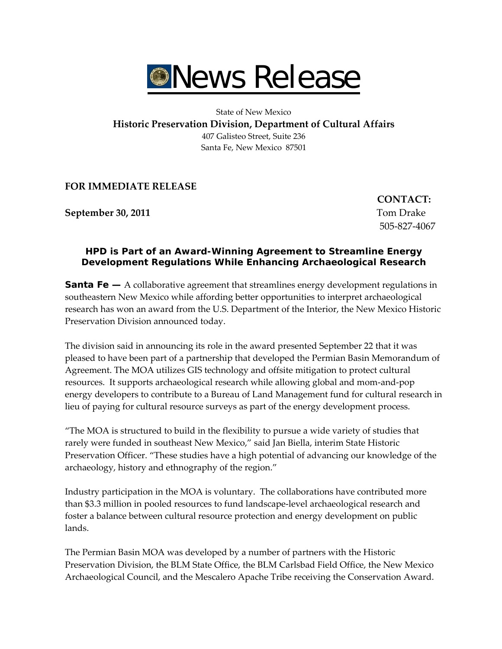

State of New Mexico

**Historic Preservation Division, Department of Cultural Affairs**

407 Galisteo Street, Suite 236 Santa Fe, New Mexico 87501

**FOR IMMEDIATE RELEASE** 

**September 30, 2011** Tom Drake

 $\text{CONTACT:}$ 505‐827‐4067

## **HPD is Part of an Award-Winning Agreement to Streamline Energy Development Regulations While Enhancing Archaeological Research**

**Santa Fe —** A collaborative agreement that streamlines energy development regulations in southeastern New Mexico while affording better opportunities to interpret archaeological research has won an award from the U.S. Department of the Interior, the New Mexico Historic Preservation Division announced today.

The division said in announcing its role in the award presented September 22 that it was pleased to have been part of a partnership that developed the Permian Basin Memorandum of Agreement. The MOA utilizes GIS technology and offsite mitigation to protect cultural resources. It supports archaeological research while allowing global and mom‐and‐pop energy developers to contribute to a Bureau of Land Management fund for cultural research in lieu of paying for cultural resource surveys as part of the energy development process.

"The MOA is structured to build in the flexibility to pursue a wide variety of studies that rarely were funded in southeast New Mexico," said Jan Biella, interim State Historic Preservation Officer. "These studies have a high potential of advancing our knowledge of the archaeology, history and ethnography of the region."

Industry participation in the MOA is voluntary. The collaborations have contributed more than \$3.3 million in pooled resources to fund landscape‐level archaeological research and foster a balance between cultural resource protection and energy development on public lands.

The Permian Basin MOA was developed by a number of partners with the Historic Preservation Division, the BLM State Office, the BLM Carlsbad Field Office, the New Mexico Archaeological Council, and the Mescalero Apache Tribe receiving the Conservation Award.